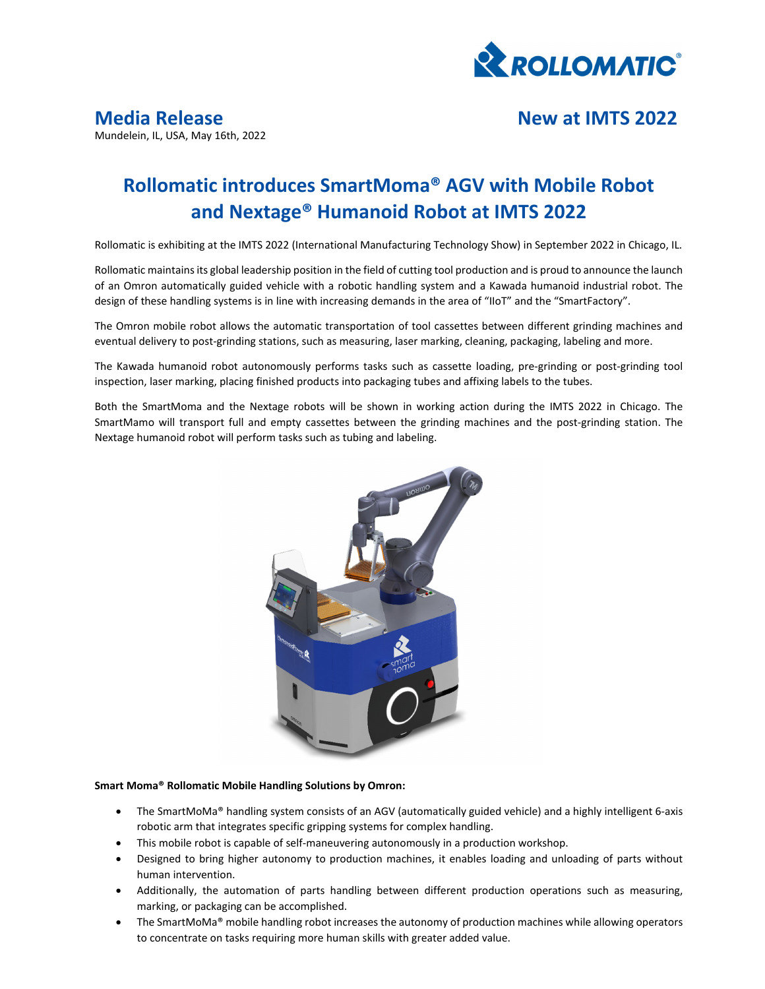

## **Media Release New at IMTS 2022**

Mundelein, IL, USA, May 16th, 2022

# **Rollomatic introduces SmartMoma® AGV with Mobile Robot and Nextage® Humanoid Robot at IMTS 2022**

Rollomatic is exhibiting at the IMTS 2022 (International Manufacturing Technology Show) in September 2022 in Chicago, IL.

Rollomatic maintains its global leadership position in the field of cutting tool production and is proud to announce the launch of an Omron automatically guided vehicle with a robotic handling system and a Kawada humanoid industrial robot. The design of these handling systems is in line with increasing demands in the area of "IIoT" and the "SmartFactory".

The Omron mobile robot allows the automatic transportation of tool cassettes between different grinding machines and eventual delivery to post-grinding stations, such as measuring, laser marking, cleaning, packaging, labeling and more.

The Kawada humanoid robot autonomously performs tasks such as cassette loading, pre‐grinding or post‐grinding tool inspection, laser marking, placing finished products into packaging tubes and affixing labels to the tubes.

Both the SmartMoma and the Nextage robots will be shown in working action during the IMTS 2022 in Chicago. The SmartMamo will transport full and empty cassettes between the grinding machines and the post-grinding station. The Nextage humanoid robot will perform tasks such as tubing and labeling.



### **Smart Moma® Rollomatic Mobile Handling Solutions by Omron:**

- The SmartMoMa® handling system consists of an AGV (automatically guided vehicle) and a highly intelligent 6‐axis robotic arm that integrates specific gripping systems for complex handling.
- This mobile robot is capable of self-maneuvering autonomously in a production workshop.
- Designed to bring higher autonomy to production machines, it enables loading and unloading of parts without human intervention.
- Additionally, the automation of parts handling between different production operations such as measuring, marking, or packaging can be accomplished.
- The SmartMoMa® mobile handling robot increases the autonomy of production machines while allowing operators to concentrate on tasks requiring more human skills with greater added value.